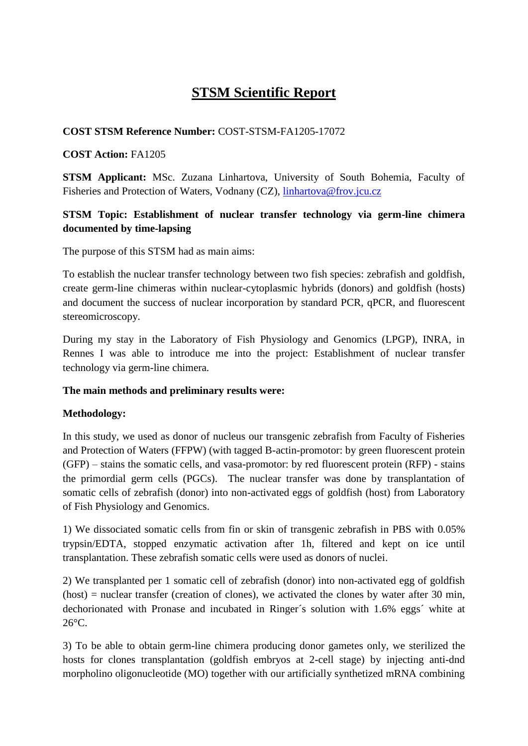# **STSM Scientific Report**

# **COST STSM Reference Number:** COST-STSM-FA1205-17072

# **COST Action:** FA1205

**STSM Applicant:** MSc. Zuzana Linhartova, University of South Bohemia, Faculty of Fisheries and Protection of Waters, Vodnany (CZ), [linhartova@frov.jcu.cz](mailto:linhartova@frov.jcu.cz)

# **STSM Topic: Establishment of nuclear transfer technology via germ-line chimera documented by time-lapsing**

The purpose of this STSM had as main aims:

To establish the nuclear transfer technology between two fish species: zebrafish and goldfish, create germ-line chimeras within nuclear-cytoplasmic hybrids (donors) and goldfish (hosts) and document the success of nuclear incorporation by standard PCR, qPCR, and fluorescent stereomicroscopy.

During my stay in the Laboratory of Fish Physiology and Genomics (LPGP), INRA, in Rennes I was able to introduce me into the project: Establishment of nuclear transfer technology via germ-line chimera.

#### **The main methods and preliminary results were:**

#### **Methodology:**

In this study, we used as donor of nucleus our transgenic zebrafish from Faculty of Fisheries and Protection of Waters (FFPW) (with tagged B-actin-promotor: by green fluorescent protein (GFP) – stains the somatic cells, and vasa-promotor: by red fluorescent protein (RFP) - stains the primordial germ cells (PGCs). The nuclear transfer was done by transplantation of somatic cells of zebrafish (donor) into non-activated eggs of goldfish (host) from Laboratory of Fish Physiology and Genomics.

1) We dissociated somatic cells from fin or skin of transgenic zebrafish in PBS with 0.05% trypsin/EDTA, stopped enzymatic activation after 1h, filtered and kept on ice until transplantation. These zebrafish somatic cells were used as donors of nuclei.

2) We transplanted per 1 somatic cell of zebrafish (donor) into non-activated egg of goldfish  $(host)$  = nuclear transfer (creation of clones), we activated the clones by water after 30 min, dechorionated with Pronase and incubated in Ringer´s solution with 1.6% eggs´ white at 26°C.

3) To be able to obtain germ-line chimera producing donor gametes only, we sterilized the hosts for clones transplantation (goldfish embryos at 2-cell stage) by injecting anti-dnd morpholino oligonucleotide (MO) together with our artificially synthetized mRNA combining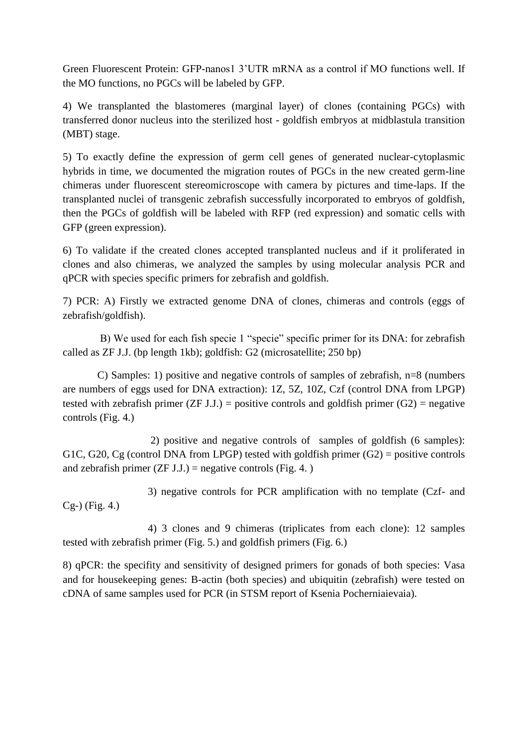Green Fluorescent Protein: GFP-nanos1 3'UTR mRNA as a control if MO functions well. If the MO functions, no PGCs will be labeled by GFP.

4) We transplanted the blastomeres (marginal layer) of clones (containing PGCs) with transferred donor nucleus into the sterilized host - goldfish embryos at midblastula transition (MBT) stage.

5) To exactly define the expression of germ cell genes of generated nuclear-cytoplasmic hybrids in time, we documented the migration routes of PGCs in the new created germ-line chimeras under fluorescent stereomicroscope with camera by pictures and time-laps. If the transplanted nuclei of transgenic zebrafish successfully incorporated to embryos of goldfish, then the PGCs of goldfish will be labeled with RFP (red expression) and somatic cells with GFP (green expression).

6) To validate if the created clones accepted transplanted nucleus and if it proliferated in clones and also chimeras, we analyzed the samples by using molecular analysis PCR and qPCR with species specific primers for zebrafish and goldfish.

7) PCR: A) Firstly we extracted genome DNA of clones, chimeras and controls (eggs of zebrafish/goldfish).

 B) We used for each fish specie 1 "specie" specific primer for its DNA: for zebrafish called as ZF J.J. (bp length 1kb); goldfish: G2 (microsatellite; 250 bp)

 C) Samples: 1) positive and negative controls of samples of zebrafish, n=8 (numbers are numbers of eggs used for DNA extraction): 1Z, 5Z, 10Z, Czf (control DNA from LPGP) tested with zebrafish primer (ZF J.J.) = positive controls and goldfish primer (G2) = negative controls (Fig. 4.)

 2) positive and negative controls of samples of goldfish (6 samples): G1C, G20, Cg (control DNA from LPGP) tested with goldfish primer  $(G2)$  = positive controls and zebrafish primer  $(ZF J.J.)$  = negative controls (Fig. 4.)

 3) negative controls for PCR amplification with no template (Czf- and Cg-) (Fig. 4.)

 4) 3 clones and 9 chimeras (triplicates from each clone): 12 samples tested with zebrafish primer (Fig. 5.) and goldfish primers (Fig. 6.)

8) qPCR: the specifity and sensitivity of designed primers for gonads of both species: Vasa and for housekeeping genes: B-actin (both species) and ubiquitin (zebrafish) were tested on cDNA of same samples used for PCR (in STSM report of Ksenia Pocherniaievaia).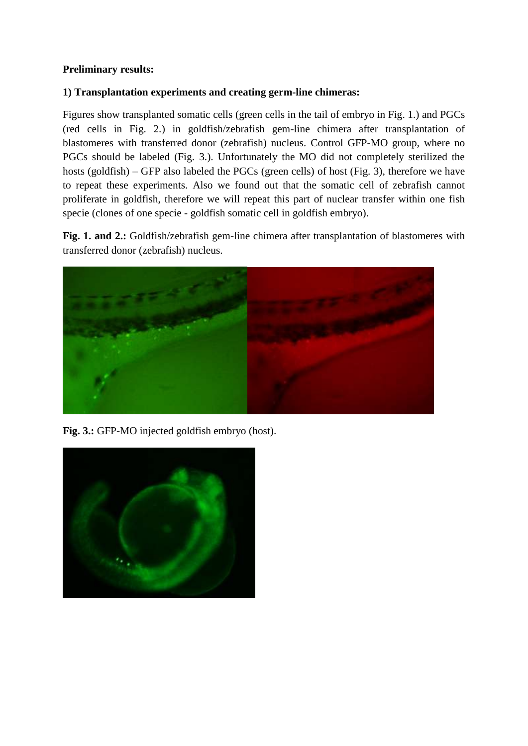# **Preliminary results:**

# **1) Transplantation experiments and creating germ-line chimeras:**

Figures show transplanted somatic cells (green cells in the tail of embryo in Fig. 1.) and PGCs (red cells in Fig. 2.) in goldfish/zebrafish gem-line chimera after transplantation of blastomeres with transferred donor (zebrafish) nucleus. Control GFP-MO group, where no PGCs should be labeled (Fig. 3.). Unfortunately the MO did not completely sterilized the hosts (goldfish) – GFP also labeled the PGCs (green cells) of host (Fig. 3), therefore we have to repeat these experiments. Also we found out that the somatic cell of zebrafish cannot proliferate in goldfish, therefore we will repeat this part of nuclear transfer within one fish specie (clones of one specie - goldfish somatic cell in goldfish embryo).

**Fig. 1. and 2.:** Goldfish/zebrafish gem-line chimera after transplantation of blastomeres with transferred donor (zebrafish) nucleus.



**Fig. 3.:** GFP-MO injected goldfish embryo (host).

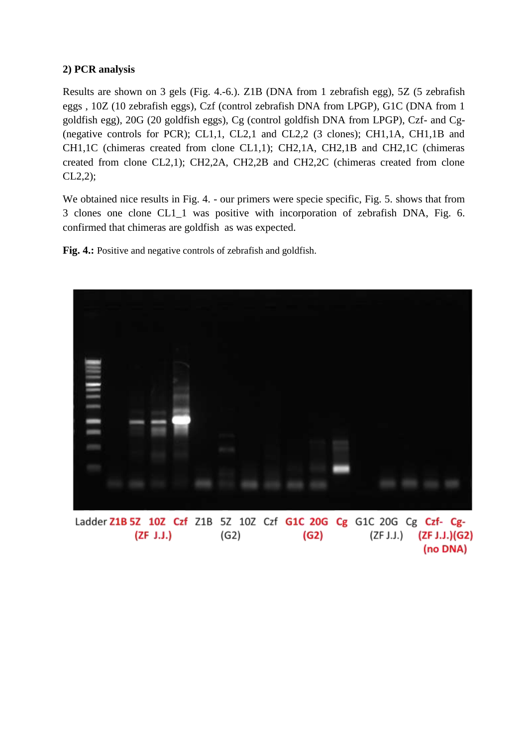# **2) PCR analysis**

Results are shown on 3 gels (Fig. 4.-6.). Z1B (DNA from 1 zebrafish egg), 5Z (5 zebrafish eggs , 10Z (10 zebrafish eggs), Czf (control zebrafish DNA from LPGP), G1C (DNA from 1 goldfish egg), 20G (20 goldfish eggs), Cg (control goldfish DNA from LPGP), Czf- and Cg- (negative controls for PCR); CL1,1, CL2,1 and CL2,2 (3 clones); CH1,1A, CH1,1B and CH1,1C (chimeras created from clone CL1,1); CH2,1A, CH2,1B and CH2,1C (chimeras created from clone CL2,1); CH2,2A, CH2,2B and CH2,2C (chimeras created from clone CL2,2);

We obtained nice results in Fig. 4. - our primers were specie specific, Fig. 5. shows that from 3 clones one clone CL1\_1 was positive with incorporation of zebrafish DNA, Fig. 6. confirmed that chimeras are goldfish as was expected.

Fig. 4.: Positive and negative controls of zebrafish and goldfish.



(ZF J.J.) (G2) (ZF J.J.) (ZF J.J.)(G2) (G2) (no DNA)